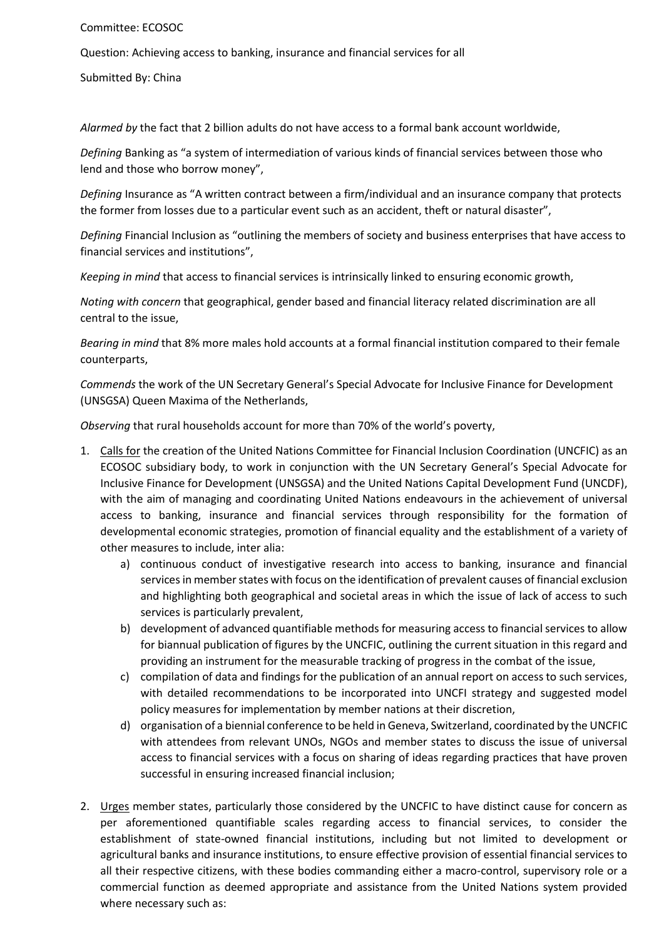## Committee: ECOSOC

Question: Achieving access to banking, insurance and financial services for all

Submitted By: China

*Alarmed by* the fact that 2 billion adults do not have access to a formal bank account worldwide,

*Defining* Banking as "a system of intermediation of various kinds of financial services between those who lend and those who borrow money",

*Defining* Insurance as "A written contract between a firm/individual and an insurance company that protects the former from losses due to a particular event such as an accident, theft or natural disaster",

*Defining* Financial Inclusion as "outlining the members of society and business enterprises that have access to financial services and institutions",

*Keeping in mind* that access to financial services is intrinsically linked to ensuring economic growth,

*Noting with concern* that geographical, gender based and financial literacy related discrimination are all central to the issue,

*Bearing in mind* that 8% more males hold accounts at a formal financial institution compared to their female counterparts,

*Commends* the work of the UN Secretary General's Special Advocate for Inclusive Finance for Development (UNSGSA) Queen Maxima of the Netherlands,

*Observing* that rural households account for more than 70% of the world's poverty,

- 1. Calls for the creation of the United Nations Committee for Financial Inclusion Coordination (UNCFIC) as an ECOSOC subsidiary body, to work in conjunction with the UN Secretary General's Special Advocate for Inclusive Finance for Development (UNSGSA) and the United Nations Capital Development Fund (UNCDF), with the aim of managing and coordinating United Nations endeavours in the achievement of universal access to banking, insurance and financial services through responsibility for the formation of developmental economic strategies, promotion of financial equality and the establishment of a variety of other measures to include, inter alia:
	- a) continuous conduct of investigative research into access to banking, insurance and financial services in member states with focus on the identification of prevalent causes of financial exclusion and highlighting both geographical and societal areas in which the issue of lack of access to such services is particularly prevalent,
	- b) development of advanced quantifiable methods for measuring access to financial services to allow for biannual publication of figures by the UNCFIC, outlining the current situation in this regard and providing an instrument for the measurable tracking of progress in the combat of the issue,
	- c) compilation of data and findings for the publication of an annual report on access to such services, with detailed recommendations to be incorporated into UNCFI strategy and suggested model policy measures for implementation by member nations at their discretion,
	- d) organisation of a biennial conference to be held in Geneva, Switzerland, coordinated by the UNCFIC with attendees from relevant UNOs, NGOs and member states to discuss the issue of universal access to financial services with a focus on sharing of ideas regarding practices that have proven successful in ensuring increased financial inclusion;
- 2. Urges member states, particularly those considered by the UNCFIC to have distinct cause for concern as per aforementioned quantifiable scales regarding access to financial services, to consider the establishment of state-owned financial institutions, including but not limited to development or agricultural banks and insurance institutions, to ensure effective provision of essential financial services to all their respective citizens, with these bodies commanding either a macro-control, supervisory role or a commercial function as deemed appropriate and assistance from the United Nations system provided where necessary such as: